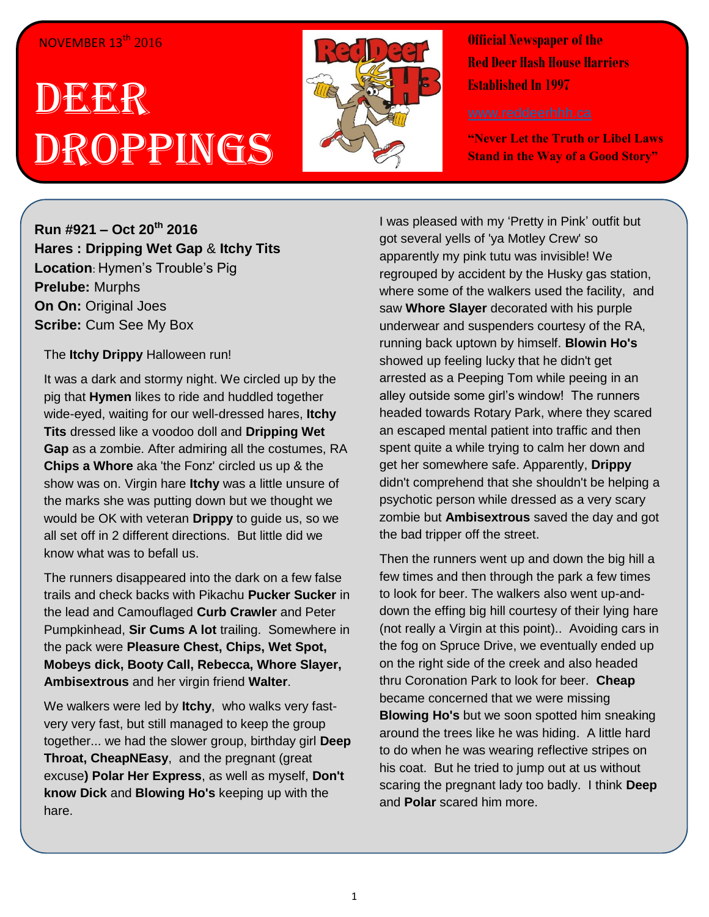## NOVEMBER 13<sup>th</sup> 2016

## DEER Droppings



**Official Newspaper of the Red Deer Hash House Harriers Established In 1997** 

**"Never Let the Truth or Libel Laws Stand in the Way of a Good Story"**

**Run #921 – Oct 20th 2016 Hares : Dripping Wet Gap** & **Itchy Tits Location**: Hymen's Trouble's Pig **Prelube:** Murphs **On On:** Original Joes **Scribe: Cum See My Box** 

## The **Itchy Drippy** Halloween run!

It was a dark and stormy night. We circled up by the pig that **Hymen** likes to ride and huddled together wide-eyed, waiting for our well-dressed hares, **Itchy Tits** dressed like a voodoo doll and **Dripping Wet Gap** as a zombie. After admiring all the costumes, RA **Chips a Whore** aka 'the Fonz' circled us up & the show was on. Virgin hare **Itchy** was a little unsure of the marks she was putting down but we thought we would be OK with veteran **Drippy** to guide us, so we all set off in 2 different directions. But little did we know what was to befall us.

The runners disappeared into the dark on a few false trails and check backs with Pikachu **Pucker Sucker** in the lead and Camouflaged **Curb Crawler** and Peter Pumpkinhead, **Sir Cums A lot** trailing. Somewhere in the pack were **Pleasure Chest, Chips, Wet Spot, Mobeys dick, Booty Call, Rebecca, Whore Slayer, Ambisextrous** and her virgin friend **Walter**.

We walkers were led by **Itchy**, who walks very fastvery very fast, but still managed to keep the group together... we had the slower group, birthday girl **Deep Throat, CheapNEasy**, and the pregnant (great excuse**) Polar Her Express**, as well as myself, **Don't know Dick** and **Blowing Ho's** keeping up with the hare.

I was pleased with my 'Pretty in Pink' outfit but got several yells of 'ya Motley Crew' so apparently my pink tutu was invisible! We regrouped by accident by the Husky gas station, where some of the walkers used the facility, and saw **Whore Slayer** decorated with his purple underwear and suspenders courtesy of the RA, running back uptown by himself. **Blowin Ho's** showed up feeling lucky that he didn't get arrested as a Peeping Tom while peeing in an alley outside some girl's window! The runners headed towards Rotary Park, where they scared an escaped mental patient into traffic and then spent quite a while trying to calm her down and get her somewhere safe. Apparently, **Drippy** didn't comprehend that she shouldn't be helping a psychotic person while dressed as a very scary zombie but **Ambisextrous** saved the day and got the bad tripper off the street.

Then the runners went up and down the big hill a few times and then through the park a few times to look for beer. The walkers also went up-anddown the effing big hill courtesy of their lying hare (not really a Virgin at this point).. Avoiding cars in the fog on Spruce Drive, we eventually ended up on the right side of the creek and also headed thru Coronation Park to look for beer. **Cheap** became concerned that we were missing **Blowing Ho's** but we soon spotted him sneaking around the trees like he was hiding. A little hard to do when he was wearing reflective stripes on his coat. But he tried to jump out at us without scaring the pregnant lady too badly. I think **Deep** and **Polar** scared him more.